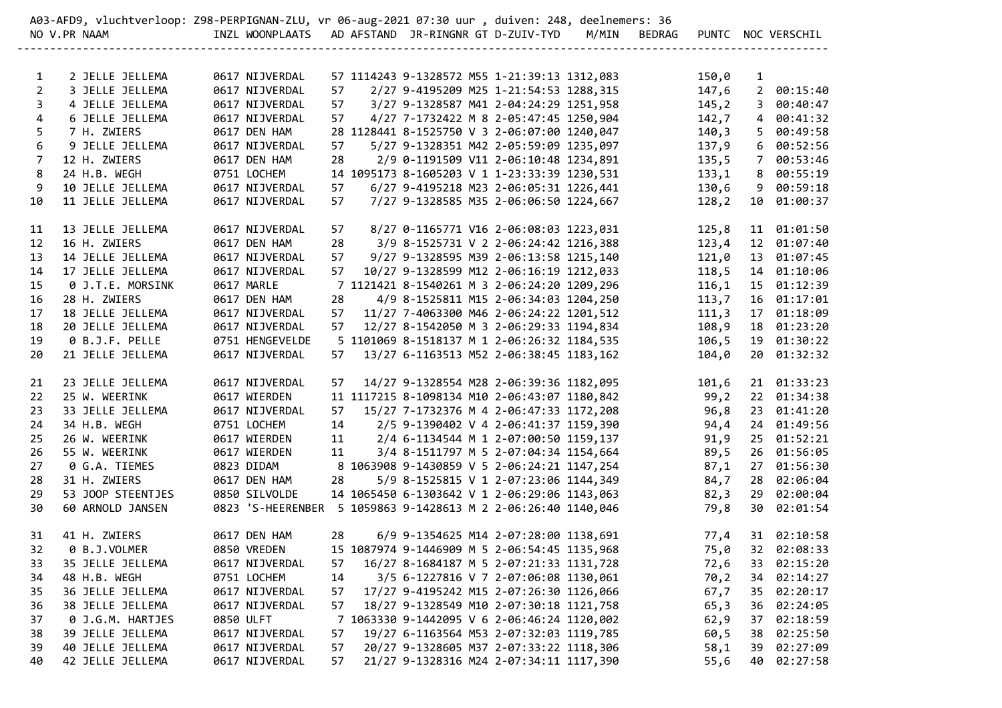| A03-AFD9, vluchtverloop: Z98-PERPIGNAN-ZLU, vr 06-aug-2021 07:30 uur , duiven: 248, deelnemers: 36 |                   |                                                               |    |  |  |  |                                              |                            |        |                |                    |
|----------------------------------------------------------------------------------------------------|-------------------|---------------------------------------------------------------|----|--|--|--|----------------------------------------------|----------------------------|--------|----------------|--------------------|
|                                                                                                    | NO V.PR NAAM      | INZL WOONPLAATS AD AFSTAND JR-RINGNR GT D-ZUIV-TYD            |    |  |  |  |                                              | M/MIN BEDRAG               |        |                | PUNTC NOC VERSCHIL |
|                                                                                                    |                   |                                                               |    |  |  |  |                                              | -------------------------- |        |                |                    |
| $\mathbf{1}$                                                                                       | 2 JELLE JELLEMA   | 0617 NIJVERDAL                                                |    |  |  |  | 57 1114243 9-1328572 M55 1-21:39:13 1312,083 |                            | 150,0  | $\mathbf{1}$   |                    |
| $\overline{2}$                                                                                     | 3 JELLE JELLEMA   | 0617 NIJVERDAL                                                | 57 |  |  |  | 2/27 9-4195209 M25 1-21:54:53 1288,315       |                            | 147,6  | $2^{\circ}$    | 00:15:40           |
| 3                                                                                                  | 4 JELLE JELLEMA   | 0617 NIJVERDAL                                                | 57 |  |  |  | 3/27 9-1328587 M41 2-04:24:29 1251,958       |                            | 145, 2 | $\mathbf{3}$   | 00:40:47           |
| 4                                                                                                  | 6 JELLE JELLEMA   | 0617 NIJVERDAL                                                | 57 |  |  |  | 4/27 7-1732422 M 8 2-05:47:45 1250,904       |                            | 142,7  | $\overline{4}$ | 00:41:32           |
| 5                                                                                                  | 7 H. ZWIERS       | 0617 DEN HAM                                                  |    |  |  |  | 28 1128441 8-1525750 V 3 2-06:07:00 1240,047 |                            | 140, 3 | 5              | 00:49:58           |
| 6                                                                                                  | 9 JELLE JELLEMA   | 0617 NIJVERDAL                                                | 57 |  |  |  | 5/27 9-1328351 M42 2-05:59:09 1235,097       |                            | 137,9  | 6              | 00:52:56           |
| $\overline{7}$                                                                                     | 12 H. ZWIERS      | 0617 DEN HAM                                                  | 28 |  |  |  | 2/9 0-1191509 V11 2-06:10:48 1234,891        |                            | 135, 5 | $7^{\circ}$    | 00:53:46           |
| 8                                                                                                  | 24 H.B. WEGH      | 0751 LOCHEM                                                   |    |  |  |  | 14 1095173 8-1605203 V 1 1-23:33:39 1230,531 |                            | 133,1  | 8              | 00:55:19           |
| 9                                                                                                  | 10 JELLE JELLEMA  | 0617 NIJVERDAL                                                | 57 |  |  |  | 6/27 9-4195218 M23 2-06:05:31 1226,441       |                            | 130,6  | 9              | 00:59:18           |
| 10                                                                                                 | 11 JELLE JELLEMA  | 0617 NIJVERDAL                                                | 57 |  |  |  | 7/27 9-1328585 M35 2-06:06:50 1224,667       |                            | 128, 2 | 10             | 01:00:37           |
| 11                                                                                                 | 13 JELLE JELLEMA  | 0617 NIJVERDAL                                                | 57 |  |  |  | 8/27 0-1165771 V16 2-06:08:03 1223,031       |                            | 125,8  |                | 11 01:01:50        |
| 12                                                                                                 | 16 H. ZWIERS      | 0617 DEN HAM                                                  | 28 |  |  |  | 3/9 8-1525731 V 2 2-06:24:42 1216,388        |                            | 123,4  |                | 12 01:07:40        |
| 13                                                                                                 | 14 JELLE JELLEMA  | 0617 NIJVERDAL                                                | 57 |  |  |  | 9/27 9-1328595 M39 2-06:13:58 1215,140       |                            | 121,0  |                | 13 01:07:45        |
| 14                                                                                                 | 17 JELLE JELLEMA  | 0617 NIJVERDAL                                                | 57 |  |  |  | 10/27 9-1328599 M12 2-06:16:19 1212,033      |                            | 118,5  |                | 14 01:10:06        |
| 15                                                                                                 | 0 J.T.E. MORSINK  | 0617 MARLE                                                    |    |  |  |  | 7 1121421 8-1540261 M 3 2-06:24:20 1209,296  |                            | 116,1  |                | 15 01:12:39        |
| 16                                                                                                 | 28 H. ZWIERS      | 0617 DEN HAM                                                  | 28 |  |  |  | 4/9 8-1525811 M15 2-06:34:03 1204,250        |                            | 113,7  |                | 16 01:17:01        |
| 17                                                                                                 | 18 JELLE JELLEMA  | 0617 NIJVERDAL                                                | 57 |  |  |  | 11/27 7-4063300 M46 2-06:24:22 1201,512      |                            | 111,3  |                | 17 01:18:09        |
| 18                                                                                                 | 20 JELLE JELLEMA  | 0617 NIJVERDAL                                                | 57 |  |  |  | 12/27 8-1542050 M 3 2-06:29:33 1194,834      |                            | 108,9  |                | 18 01:23:20        |
| 19                                                                                                 | 0 B.J.F. PELLE    | 0751 HENGEVELDE                                               |    |  |  |  | 5 1101069 8-1518137 M 1 2-06:26:32 1184,535  |                            | 106,5  |                | 19 01:30:22        |
| 20                                                                                                 | 21 JELLE JELLEMA  | 0617 NIJVERDAL                                                | 57 |  |  |  | 13/27 6-1163513 M52 2-06:38:45 1183,162      |                            | 104,0  |                | 20 01:32:32        |
| 21                                                                                                 | 23 JELLE JELLEMA  | 0617 NIJVERDAL                                                | 57 |  |  |  | 14/27 9-1328554 M28 2-06:39:36 1182,095      |                            | 101,6  |                | 21 01:33:23        |
| 22                                                                                                 | 25 W. WEERINK     | 0617 WIERDEN                                                  |    |  |  |  | 11 1117215 8-1098134 M10 2-06:43:07 1180,842 |                            | 99,2   |                | 22 01:34:38        |
| 23                                                                                                 | 33 JELLE JELLEMA  | 0617 NIJVERDAL                                                | 57 |  |  |  | 15/27 7-1732376 M 4 2-06:47:33 1172,208      |                            | 96,8   | 23             | 01:41:20           |
| 24                                                                                                 | 34 H.B. WEGH      | 0751 LOCHEM                                                   | 14 |  |  |  | 2/5 9-1390402 V 4 2-06:41:37 1159,390        |                            | 94,4   |                | 24 01:49:56        |
| 25                                                                                                 | 26 W. WEERINK     | 0617 WIERDEN                                                  | 11 |  |  |  | 2/4 6-1134544 M 1 2-07:00:50 1159,137        |                            | 91,9   | 25             | 01:52:21           |
| 26                                                                                                 | 55 W. WEERINK     | 0617 WIERDEN                                                  | 11 |  |  |  | 3/4 8-1511797 M 5 2-07:04:34 1154,664        |                            | 89,5   |                | 26 01:56:05        |
| 27                                                                                                 | 0 G.A. TIEMES     | 0823 DIDAM                                                    |    |  |  |  | 8 1063908 9-1430859 V 5 2-06:24:21 1147,254  |                            | 87,1   |                | 27 01:56:30        |
| 28                                                                                                 | 31 H. ZWIERS      | 0617 DEN HAM                                                  | 28 |  |  |  | 5/9 8-1525815 V 1 2-07:23:06 1144,349        |                            | 84,7   |                | 28 02:06:04        |
| 29                                                                                                 | 53 JOOP STEENTJES | 0850 SILVOLDE                                                 |    |  |  |  | 14 1065450 6-1303642 V 1 2-06:29:06 1143,063 |                            | 82,3   |                | 29 02:00:04        |
| 30                                                                                                 | 60 ARNOLD JANSEN  | 0823 'S-HEERENBER 5 1059863 9-1428613 M 2 2-06:26:40 1140,046 |    |  |  |  |                                              |                            | 79,8   |                | 30 02:01:54        |
| 31                                                                                                 | 41 H. ZWIERS      | 0617 DEN HAM                                                  | 28 |  |  |  | 6/9 9-1354625 M14 2-07:28:00 1138,691        |                            | 77,4   |                | 31 02:10:58        |
|                                                                                                    | 32 0 B.J.VOLMER   | 0850 VREDEN                                                   |    |  |  |  | 15 1087974 9-1446909 M 5 2-06:54:45 1135,968 |                            |        |                | 75,0 32 02:08:33   |
| 33                                                                                                 | 35 JELLE JELLEMA  | 0617 NIJVERDAL                                                | 57 |  |  |  | 16/27 8-1684187 M 5 2-07:21:33 1131,728      |                            | 72,6   |                | 33 02:15:20        |
| 34                                                                                                 | 48 H.B. WEGH      | 0751 LOCHEM                                                   | 14 |  |  |  | 3/5 6-1227816 V 7 2-07:06:08 1130,061        |                            | 70,2   |                | 34 02:14:27        |
| 35                                                                                                 | 36 JELLE JELLEMA  | 0617 NIJVERDAL                                                | 57 |  |  |  | 17/27 9-4195242 M15 2-07:26:30 1126,066      |                            | 67,7   |                | 35 02:20:17        |
| 36                                                                                                 | 38 JELLE JELLEMA  | 0617 NIJVERDAL                                                | 57 |  |  |  | 18/27 9-1328549 M10 2-07:30:18 1121,758      |                            | 65, 3  |                | 36 02:24:05        |
| 37                                                                                                 | 0 J.G.M. HARTJES  | 0850 ULFT                                                     |    |  |  |  | 7 1063330 9-1442095 V 6 2-06:46:24 1120,002  |                            | 62,9   | 37             | 02:18:59           |
| 38                                                                                                 | 39 JELLE JELLEMA  | 0617 NIJVERDAL                                                | 57 |  |  |  | 19/27 6-1163564 M53 2-07:32:03 1119,785      |                            | 60,5   | 38             | 02:25:50           |
| 39                                                                                                 | 40 JELLE JELLEMA  | 0617 NIJVERDAL                                                | 57 |  |  |  | 20/27 9-1328605 M37 2-07:33:22 1118,306      |                            | 58,1   | 39             | 02:27:09           |
| 40                                                                                                 | 42 JELLE JELLEMA  | 0617 NIJVERDAL                                                | 57 |  |  |  | 21/27 9-1328316 M24 2-07:34:11 1117,390      |                            | 55,6   | 40             | 02:27:58           |